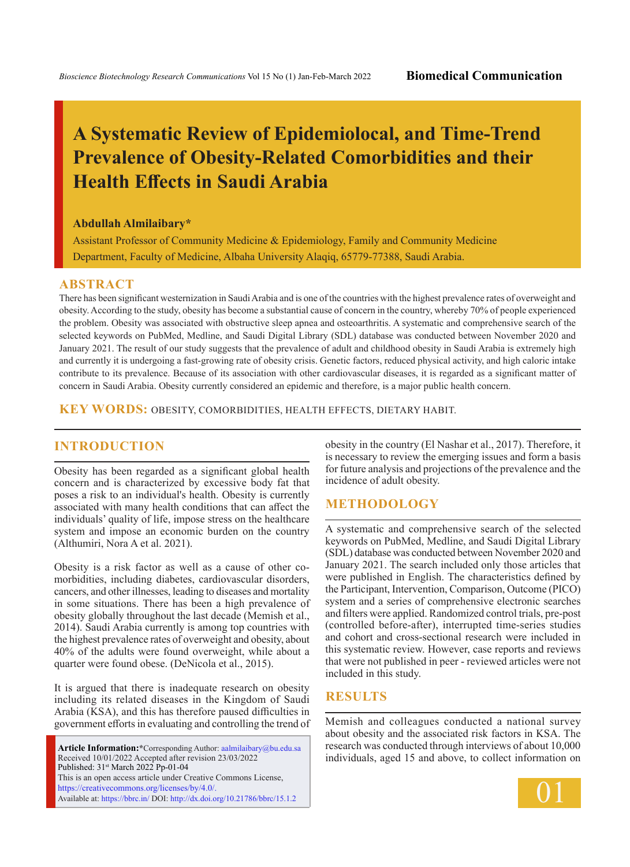# **A Systematic Review of Epidemiolocal, and Time-Trend Prevalence of Obesity-Related Comorbidities and their Health Effects in Saudi Arabia**

### **Abdullah Almilaibary\***

Assistant Professor of Community Medicine & Epidemiology, Family and Community Medicine Department, Faculty of Medicine, Albaha University Alaqiq, 65779-77388, Saudi Arabia.

## **ABSTRACT**

There has been significant westernization in Saudi Arabia and is one of the countries with the highest prevalence rates of overweight and obesity. According to the study, obesity has become a substantial cause of concern in the country, whereby 70% of people experienced the problem. Obesity was associated with obstructive sleep apnea and osteoarthritis. A systematic and comprehensive search of the selected keywords on PubMed, Medline, and Saudi Digital Library (SDL) database was conducted between November 2020 and January 2021. The result of our study suggests that the prevalence of adult and childhood obesity in Saudi Arabia is extremely high and currently it is undergoing a fast-growing rate of obesity crisis. Genetic factors, reduced physical activity, and high caloric intake contribute to its prevalence. Because of its association with other cardiovascular diseases, it is regarded as a significant matter of concern in Saudi Arabia. Obesity currently considered an epidemic and therefore, is a major public health concern.

**KEY WORDS:** Obesity, Comorbidities, Health effects, Dietary Habit.

# **INTRODUCTION**

Obesity has been regarded as a significant global health concern and is characterized by excessive body fat that poses a risk to an individual's health. Obesity is currently associated with many health conditions that can affect the individuals' quality of life, impose stress on the healthcare system and impose an economic burden on the country (Althumiri, Nora A et al. 2021).

Obesity is a risk factor as well as a cause of other comorbidities, including diabetes, cardiovascular disorders, cancers, and other illnesses, leading to diseases and mortality in some situations. There has been a high prevalence of obesity globally throughout the last decade (Memish et al., 2014). Saudi Arabia currently is among top countries with the highest prevalence rates of overweight and obesity, about 40% of the adults were found overweight, while about a quarter were found obese. (DeNicola et al., 2015).

It is argued that there is inadequate research on obesity including its related diseases in the Kingdom of Saudi Arabia (KSA), and this has therefore paused difficulties in government efforts in evaluating and controlling the trend of

**Article Information:\***Corresponding Author: aalmilaibary@bu.edu.sa Received 10/01/2022 Accepted after revision 23/03/2022 Published: 31<sup>st</sup> March 2022 Pp-01-04 This is an open access article under Creative Commons License, https://creativecommons.org/licenses/by/4.0/. Available at: https://bbrc.in/ DOI: http://dx.doi.org/10.21786/bbrc/15.1.2

obesity in the country (El Nashar et al., 2017). Therefore, it is necessary to review the emerging issues and form a basis for future analysis and projections of the prevalence and the incidence of adult obesity.

## **Methodology**

A systematic and comprehensive search of the selected keywords on PubMed, Medline, and Saudi Digital Library (SDL) database was conducted between November 2020 and January 2021. The search included only those articles that were published in English. The characteristics defined by the Participant, Intervention, Comparison, Outcome (PICO) system and a series of comprehensive electronic searches and filters were applied. Randomized control trials, pre-post (controlled before-after), interrupted time-series studies and cohort and cross-sectional research were included in this systematic review. However, case reports and reviews that were not published in peer - reviewed articles were not included in this study.

### **Results**

Memish and colleagues conducted a national survey about obesity and the associated risk factors in KSA. The research was conducted through interviews of about 10,000 individuals, aged 15 and above, to collect information on

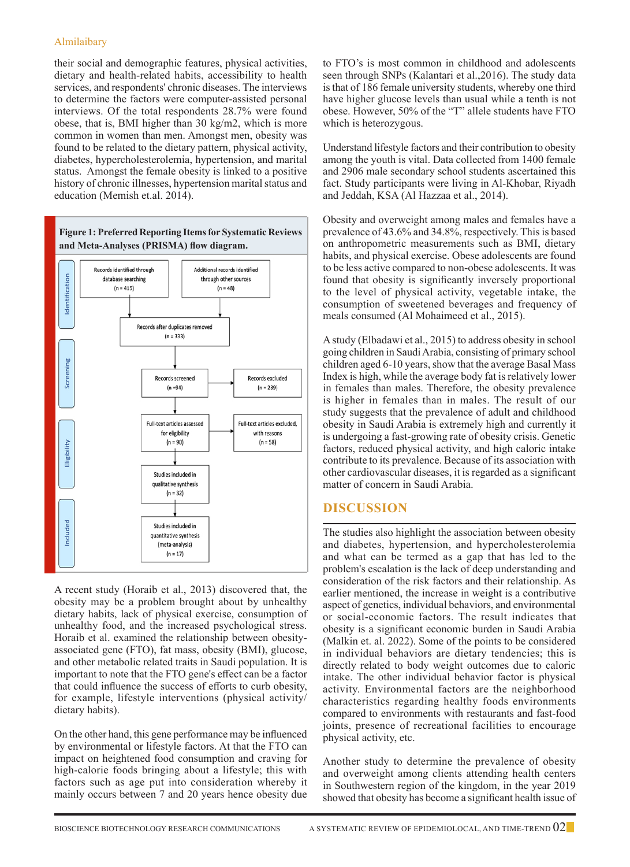## Almilaibary

their social and demographic features, physical activities, dietary and health-related habits, accessibility to health services, and respondents' chronic diseases. The interviews to determine the factors were computer-assisted personal interviews. Of the total respondents 28.7% were found obese, that is, BMI higher than 30 kg/m2, which is more common in women than men. Amongst men, obesity was found to be related to the dietary pattern, physical activity, diabetes, hypercholesterolemia, hypertension, and marital status. Amongst the female obesity is linked to a positive history of chronic illnesses, hypertension marital status and education (Memish et.al. 2014).



A recent study (Horaib et al., 2013) discovered that, the obesity may be a problem brought about by unhealthy dietary habits, lack of physical exercise, consumption of unhealthy food, and the increased psychological stress. Horaib et al. examined the relationship between obesityassociated gene (FTO), fat mass, obesity (BMI), glucose, and other metabolic related traits in Saudi population. It is important to note that the FTO gene's effect can be a factor that could influence the success of efforts to curb obesity, for example, lifestyle interventions (physical activity/ dietary habits).

On the other hand, this gene performance may be influenced by environmental or lifestyle factors. At that the FTO can impact on heightened food consumption and craving for high-calorie foods bringing about a lifestyle; this with factors such as age put into consideration whereby it mainly occurs between 7 and 20 years hence obesity due to FTO's is most common in childhood and adolescents seen through SNPs (Kalantari et al.,2016). The study data is that of 186 female university students, whereby one third have higher glucose levels than usual while a tenth is not obese. However, 50% of the "T" allele students have FTO which is heterozygous.

Understand lifestyle factors and their contribution to obesity among the youth is vital. Data collected from 1400 female and 2906 male secondary school students ascertained this fact. Study participants were living in Al-Khobar, Riyadh and Jeddah, KSA (Al Hazzaa et al., 2014).

Obesity and overweight among males and females have a prevalence of 43.6% and 34.8%, respectively. This is based on anthropometric measurements such as BMI, dietary habits, and physical exercise. Obese adolescents are found to be less active compared to non-obese adolescents. It was found that obesity is significantly inversely proportional to the level of physical activity, vegetable intake, the consumption of sweetened beverages and frequency of meals consumed (Al Mohaimeed et al., 2015).

A study (Elbadawi et al., 2015) to address obesity in school going children in Saudi Arabia, consisting of primary school children aged 6-10 years, show that the average Basal Mass Index is high, while the average body fat is relatively lower in females than males. Therefore, the obesity prevalence is higher in females than in males. The result of our study suggests that the prevalence of adult and childhood obesity in Saudi Arabia is extremely high and currently it is undergoing a fast-growing rate of obesity crisis. Genetic factors, reduced physical activity, and high caloric intake contribute to its prevalence. Because of its association with other cardiovascular diseases, it is regarded as a significant matter of concern in Saudi Arabia.

# **Discussion**

The studies also highlight the association between obesity and diabetes, hypertension, and hypercholesterolemia and what can be termed as a gap that has led to the problem's escalation is the lack of deep understanding and consideration of the risk factors and their relationship. As earlier mentioned, the increase in weight is a contributive aspect of genetics, individual behaviors, and environmental or social-economic factors. The result indicates that obesity is a significant economic burden in Saudi Arabia (Malkin et. al. 2022). Some of the points to be considered in individual behaviors are dietary tendencies; this is directly related to body weight outcomes due to caloric intake. The other individual behavior factor is physical activity. Environmental factors are the neighborhood characteristics regarding healthy foods environments compared to environments with restaurants and fast-food joints, presence of recreational facilities to encourage physical activity, etc.

Another study to determine the prevalence of obesity and overweight among clients attending health centers in Southwestern region of the kingdom, in the year 2019 showed that obesity has become a significant health issue of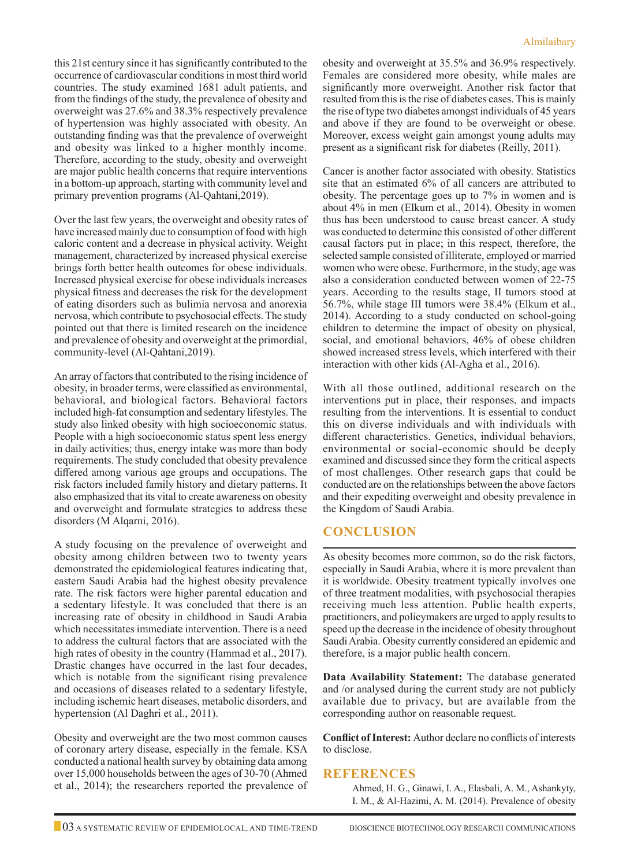this 21st century since it has significantly contributed to the occurrence of cardiovascular conditions in most third world countries. The study examined 1681 adult patients, and from the findings of the study, the prevalence of obesity and overweight was 27.6% and 38.3% respectively prevalence of hypertension was highly associated with obesity. An outstanding finding was that the prevalence of overweight and obesity was linked to a higher monthly income. Therefore, according to the study, obesity and overweight are major public health concerns that require interventions in a bottom-up approach, starting with community level and primary prevention programs (Al-Qahtani,2019).

Over the last few years, the overweight and obesity rates of have increased mainly due to consumption of food with high caloric content and a decrease in physical activity. Weight management, characterized by increased physical exercise brings forth better health outcomes for obese individuals. Increased physical exercise for obese individuals increases physical fitness and decreases the risk for the development of eating disorders such as bulimia nervosa and anorexia nervosa, which contribute to psychosocial effects. The study pointed out that there is limited research on the incidence and prevalence of obesity and overweight at the primordial, community-level (Al-Qahtani,2019).

An array of factors that contributed to the rising incidence of obesity, in broader terms, were classified as environmental, behavioral, and biological factors. Behavioral factors included high-fat consumption and sedentary lifestyles. The study also linked obesity with high socioeconomic status. People with a high socioeconomic status spent less energy in daily activities; thus, energy intake was more than body requirements. The study concluded that obesity prevalence differed among various age groups and occupations. The risk factors included family history and dietary patterns. It also emphasized that its vital to create awareness on obesity and overweight and formulate strategies to address these disorders (M Alqarni, 2016).

A study focusing on the prevalence of overweight and obesity among children between two to twenty years demonstrated the epidemiological features indicating that, eastern Saudi Arabia had the highest obesity prevalence rate. The risk factors were higher parental education and a sedentary lifestyle. It was concluded that there is an increasing rate of obesity in childhood in Saudi Arabia which necessitates immediate intervention. There is a need to address the cultural factors that are associated with the high rates of obesity in the country (Hammad et al., 2017). Drastic changes have occurred in the last four decades, which is notable from the significant rising prevalence and occasions of diseases related to a sedentary lifestyle, including ischemic heart diseases, metabolic disorders, and hypertension (Al Daghri et al., 2011).

Obesity and overweight are the two most common causes of coronary artery disease, especially in the female. KSA conducted a national health survey by obtaining data among over 15,000 households between the ages of 30-70 (Ahmed et al., 2014); the researchers reported the prevalence of obesity and overweight at 35.5% and 36.9% respectively. Females are considered more obesity, while males are significantly more overweight. Another risk factor that resulted from this is the rise of diabetes cases. This is mainly the rise of type two diabetes amongst individuals of 45 years and above if they are found to be overweight or obese. Moreover, excess weight gain amongst young adults may present as a significant risk for diabetes (Reilly, 2011).

Cancer is another factor associated with obesity. Statistics site that an estimated 6% of all cancers are attributed to obesity. The percentage goes up to 7% in women and is about 4% in men (Elkum et al., 2014). Obesity in women thus has been understood to cause breast cancer. A study was conducted to determine this consisted of other different causal factors put in place; in this respect, therefore, the selected sample consisted of illiterate, employed or married women who were obese. Furthermore, in the study, age was also a consideration conducted between women of 22-75 years. According to the results stage, II tumors stood at 56.7%, while stage III tumors were 38.4% (Elkum et al., 2014). According to a study conducted on school-going children to determine the impact of obesity on physical, social, and emotional behaviors, 46% of obese children showed increased stress levels, which interfered with their interaction with other kids (Al-Agha et al., 2016).

With all those outlined, additional research on the interventions put in place, their responses, and impacts resulting from the interventions. It is essential to conduct this on diverse individuals and with individuals with different characteristics. Genetics, individual behaviors, environmental or social-economic should be deeply examined and discussed since they form the critical aspects of most challenges. Other research gaps that could be conducted are on the relationships between the above factors and their expediting overweight and obesity prevalence in the Kingdom of Saudi Arabia.

# **Conclusion**

As obesity becomes more common, so do the risk factors, especially in Saudi Arabia, where it is more prevalent than it is worldwide. Obesity treatment typically involves one of three treatment modalities, with psychosocial therapies receiving much less attention. Public health experts, practitioners, and policymakers are urged to apply results to speed up the decrease in the incidence of obesity throughout Saudi Arabia. Obesity currently considered an epidemic and therefore, is a major public health concern.

**Data Availability Statement:** The database generated and /or analysed during the current study are not publicly available due to privacy, but are available from the corresponding author on reasonable request.

**Conflict of Interest:** Author declare no conflicts of interests to disclose.

# **References**

Ahmed, H. G., Ginawi, I. A., Elasbali, A. M., Ashankyty, I. M., & Al-Hazimi, A. M. (2014). Prevalence of obesity